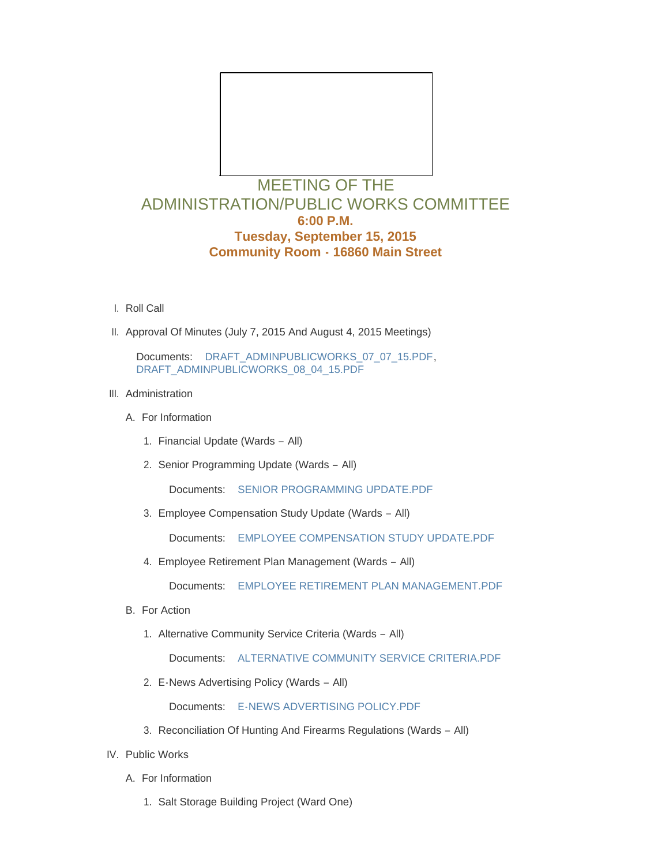

## ADMINISTRATION/PUBLIC WORKS COMMITTEE **6:00 P.M. Tuesday, September 15, 2015 Community Room - 16860 Main Street**

- l. Roll Call
- II. Approval Of Minutes (July 7, 2015 And August 4, 2015 Meetings)

Documents: [DRAFT\\_ADMINPUBLICWORKS\\_07\\_07\\_15.PDF](http://mo-wildwood.civicplus.com/AgendaCenter/ViewFile/Item/4815?fileID=6409), [DRAFT\\_ADMINPUBLICWORKS\\_08\\_04\\_15.PDF](http://mo-wildwood.civicplus.com/AgendaCenter/ViewFile/Item/4815?fileID=6410)

- III. Administration
	- A. For Information
		- 1. Financial Update (Wards All)
		- 2. Senior Programming Update (Wards All)

Documents: [SENIOR PROGRAMMING UPDATE.PDF](http://mo-wildwood.civicplus.com/AgendaCenter/ViewFile/Item/4819?fileID=6411)

Employee Compensation Study Update (Wards – All) 3.

Documents: [EMPLOYEE COMPENSATION STUDY UPDATE.PDF](http://mo-wildwood.civicplus.com/AgendaCenter/ViewFile/Item/4820?fileID=6412)

Employee Retirement Plan Management (Wards – All) 4.

Documents: [EMPLOYEE RETIREMENT PLAN MANAGEMENT.PDF](http://mo-wildwood.civicplus.com/AgendaCenter/ViewFile/Item/4821?fileID=6413)

- B. For Action
	- 1. Alternative Community Service Criteria (Wards All)

Documents: [ALTERNATIVE COMMUNITY SERVICE CRITERIA.PDF](http://mo-wildwood.civicplus.com/AgendaCenter/ViewFile/Item/4823?fileID=6414)

E-News Advertising Policy (Wards – All) 2.

Documents: [E-NEWS ADVERTISING POLICY.PDF](http://mo-wildwood.civicplus.com/AgendaCenter/ViewFile/Item/4824?fileID=6415)

- 3. Reconciliation Of Hunting And Firearms Regulations (Wards All)
- IV. Public Works
	- A. For Information
		- 1. Salt Storage Building Project (Ward One)